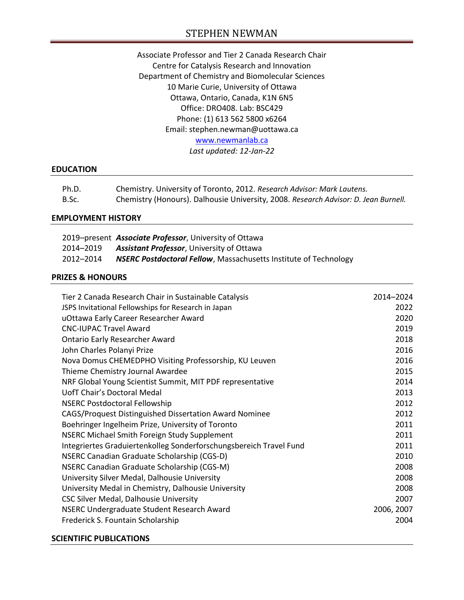# STEPHEN NEWMAN

Associate Professor and Tier 2 Canada Research Chair Centre for Catalysis Research and Innovation Department of Chemistry and Biomolecular Sciences 10 Marie Curie, University of Ottawa Ottawa, Ontario, Canada, K1N 6N5 Office: DRO408. Lab: BSC429 Phone: (1) 613 562 5800 x6264 Email: stephen.newman@uottawa.ca [www.newmanlab.ca](http://www.newmanlab.ca/) *Last updated: 12-Jan-22*

### **EDUCATION**

| Ph.D. | Chemistry. University of Toronto, 2012. Research Advisor: Mark Lautens.             |
|-------|-------------------------------------------------------------------------------------|
| B.Sc. | Chemistry (Honours). Dalhousie University, 2008. Research Advisor: D. Jean Burnell. |

### **EMPLOYMENT HISTORY**

|           | 2019–present Associate Professor, University of Ottawa                  |
|-----------|-------------------------------------------------------------------------|
| 2014–2019 | <b>Assistant Professor</b> , University of Ottawa                       |
| 2012-2014 | <b>NSERC Postdoctoral Fellow, Massachusetts Institute of Technology</b> |

## **PRIZES & HONOURS**

| Tier 2 Canada Research Chair in Sustainable Catalysis              | 2014-2024  |
|--------------------------------------------------------------------|------------|
| JSPS Invitational Fellowships for Research in Japan                | 2022       |
| uOttawa Early Career Researcher Award                              | 2020       |
| <b>CNC-IUPAC Travel Award</b>                                      | 2019       |
| <b>Ontario Early Researcher Award</b>                              | 2018       |
| John Charles Polanyi Prize                                         | 2016       |
| Nova Domus CHEMEDPHO Visiting Professorship, KU Leuven             | 2016       |
| Thieme Chemistry Journal Awardee                                   | 2015       |
| NRF Global Young Scientist Summit, MIT PDF representative          | 2014       |
| UofT Chair's Doctoral Medal                                        | 2013       |
| <b>NSERC Postdoctoral Fellowship</b>                               | 2012       |
| CAGS/Proquest Distinguished Dissertation Award Nominee             | 2012       |
| Boehringer Ingelheim Prize, University of Toronto                  | 2011       |
| <b>NSERC Michael Smith Foreign Study Supplement</b>                | 2011       |
| Integriertes Graduiertenkolleg Sonderforschungsbereich Travel Fund | 2011       |
| NSERC Canadian Graduate Scholarship (CGS-D)                        | 2010       |
| NSERC Canadian Graduate Scholarship (CGS-M)                        | 2008       |
| University Silver Medal, Dalhousie University                      | 2008       |
| University Medal in Chemistry, Dalhousie University                | 2008       |
| CSC Silver Medal, Dalhousie University                             | 2007       |
| NSERC Undergraduate Student Research Award                         | 2006, 2007 |
| Frederick S. Fountain Scholarship                                  | 2004       |

## **SCIENTIFIC PUBLICATIONS**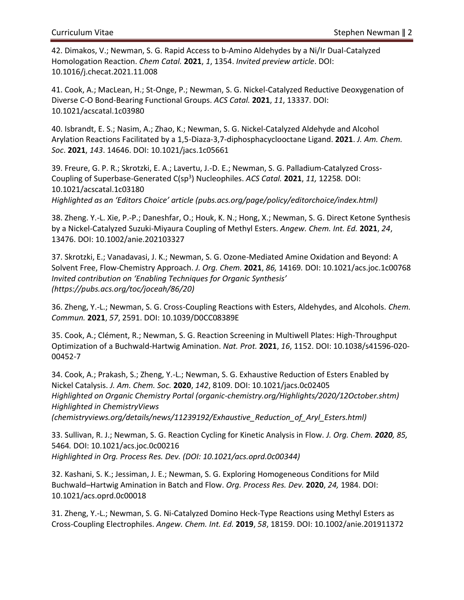42. Dimakos, V.; Newman, S. G. Rapid Access to b-Amino Aldehydes by a Ni/Ir Dual-Catalyzed Homologation Reaction. *Chem Catal.* **2021**, *1*, 1354. *Invited preview article*. DOI: 10.1016/j.checat.2021.11.008

41. Cook, A.; MacLean, H.; St-Onge, P.; Newman, S. G. Nickel-Catalyzed Reductive Deoxygenation of Diverse C-O Bond-Bearing Functional Groups. *ACS Catal.* **2021**, *11*, 13337. DOI: 10.1021/acscatal.1c03980

40. Isbrandt, E. S.; Nasim, A.; Zhao, K.; Newman, S. G. Nickel-Catalyzed Aldehyde and Alcohol Arylation Reactions Facilitated by a 1,5-Diaza-3,7-diphosphacyclooctane Ligand. **2021**. *J. Am. Chem. Soc*. **2021**, *143*. 14646. DOI: 10.1021/jacs.1c05661

39. Freure, G. P. R.; Skrotzki, E. A.; Lavertu, J.-D. E.; Newman, S. G. Palladium-Catalyzed Cross-Coupling of Superbase-Generated C(sp<sup>3</sup> ) Nucleophiles. *ACS Catal.* **2021**, *11,* 12258*.* DOI: 10.1021/acscatal.1c03180

*Highlighted as an 'Editors Choice' article (pubs.acs.org/page/policy/editorchoice/index.html)*

38. Zheng. Y.-L. Xie, P.-P.; Daneshfar, O.; Houk, K. N.; Hong, X.; Newman, S. G. Direct Ketone Synthesis by a Nickel-Catalyzed Suzuki-Miyaura Coupling of Methyl Esters. *Angew. Chem. Int. Ed.* **2021**, *24*, 13476. DOI: 10.1002/anie.202103327

37. Skrotzki, E.; Vanadavasi, J. K.; Newman, S. G. Ozone-Mediated Amine Oxidation and Beyond: A Solvent Free, Flow-Chemistry Approach. *J. Org. Chem.* **2021**, *86,* 14169*.* DOI: 10.1021/acs.joc.1c00768 *Invited contribution on 'Enabling Techniques for Organic Synthesis' (https://pubs.acs.org/toc/joceah/86/20)*

36. Zheng, Y.-L.; Newman, S. G. Cross-Coupling Reactions with Esters, Aldehydes, and Alcohols. *Chem. Commun.* **2021**, *57*, 2591. DOI: 10.1039/D0CC08389E

35. Cook, A.; Clément, R.; Newman, S. G. Reaction Screening in Multiwell Plates: High-Throughput Optimization of a Buchwald-Hartwig Amination. *Nat. Prot.* **2021**, *16*, 1152. DOI: 10.1038/s41596-020- 00452-7

34. Cook, A.; Prakash, S.; Zheng, Y.-L.; Newman, S. G. Exhaustive Reduction of Esters Enabled by Nickel Catalysis. *J. Am. Chem. Soc.* **2020**, *142*, 8109. DOI: 10.1021/jacs.0c02405 *Highlighted on Organic Chemistry Portal (organic-chemistry.org/Highlights/2020/12October.shtm) Highlighted in ChemistryViews (chemistryviews.org/details/news/11239192/Exhaustive\_Reduction\_of\_Aryl\_Esters.html)*

33. Sullivan, R. J.; Newman, S. G. Reaction Cycling for Kinetic Analysis in Flow. *J. Org. Chem. 2020, 85,*  5464*.* DOI: 10.1021/acs.joc.0c00216 *Highlighted in Org. Process Res. Dev. (DOI: 10.1021/acs.oprd.0c00344)*

32. Kashani, S. K.; Jessiman, J. E.; Newman, S. G. Exploring Homogeneous Conditions for Mild Buchwald–Hartwig Amination in Batch and Flow. *Org. Process Res. Dev.* **2020**, *24,* 1984. DOI: 10.1021/acs.oprd.0c00018

31. Zheng, Y.-L.; Newman, S. G. Ni-Catalyzed Domino Heck-Type Reactions using Methyl Esters as Cross-Coupling Electrophiles. *Angew. Chem. Int. Ed.* **2019**, *58*, 18159. DOI: 10.1002/anie.201911372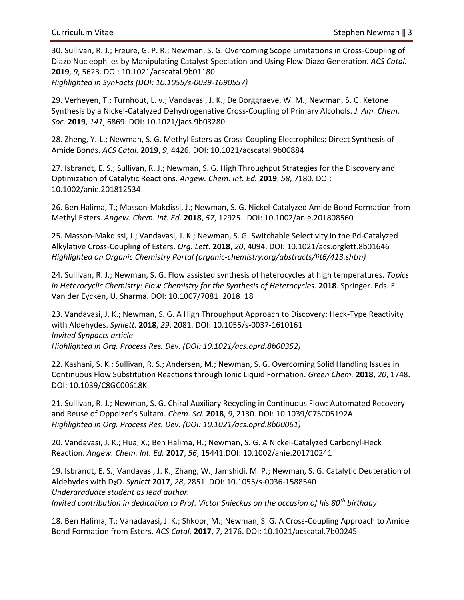30. Sullivan, R. J.; Freure, G. P. R.; Newman, S. G. Overcoming Scope Limitations in Cross-Coupling of Diazo Nucleophiles by Manipulating Catalyst Speciation and Using Flow Diazo Generation. *ACS Catal.* **2019**, *9*, 5623. DOI: 10.1021/acscatal.9b01180 *Highlighted in SynFacts (DOI: 10.1055/s-0039-1690557)*

29. Verheyen, T.; Turnhout, L. v.; Vandavasi, J. K.; De Borggraeve, W. M.; Newman, S. G. Ketone Synthesis by a Nickel-Catalyzed Dehydrogenative Cross-Coupling of Primary Alcohols. *J. Am. Chem. Soc.* **2019**, *141*, 6869. DOI: 10.1021/jacs.9b03280

28. Zheng, Y.-L.; Newman, S. G. Methyl Esters as Cross-Coupling Electrophiles: Direct Synthesis of Amide Bonds. *ACS Catal.* **2019**, *9*, 4426. DOI: 10.1021/acscatal.9b00884

27. Isbrandt, E. S.; Sullivan, R. J.; Newman, S. G. High Throughput Strategies for the Discovery and Optimization of Catalytic Reactions. *Angew. Chem. Int. Ed.* **2019**, *58*, 7180. DOI: 10.1002/anie.201812534

26. Ben Halima, T.; Masson-Makdissi, J.; Newman, S. G. Nickel-Catalyzed Amide Bond Formation from Methyl Esters. *Angew. Chem. Int. Ed.* **2018**, *57*, 12925. DOI: 10.1002/anie.201808560

25. Masson-Makdissi, J.; Vandavasi, J. K.; Newman, S. G. Switchable Selectivity in the Pd-Catalyzed Alkylative Cross-Coupling of Esters. *Org. Lett.* **2018**, *20*, 4094. DOI: 10.1021/acs.orglett.8b01646 *Highlighted on Organic Chemistry Portal (organic-chemistry.org/abstracts/lit6/413.shtm)*

24. Sullivan, R. J.; Newman, S. G. Flow assisted synthesis of heterocycles at high temperatures. *Topics in Heterocyclic Chemistry: Flow Chemistry for the Synthesis of Heterocycles.* **2018**. Springer. Eds. E. Van der Eycken, U. Sharma. DOI: 10.1007/7081\_2018\_18

23. Vandavasi, J. K.; Newman, S. G. A High Throughput Approach to Discovery: Heck-Type Reactivity with Aldehydes. *Synlett*. **2018**, *29*, 2081. DOI: 10.1055/s-0037-1610161 *Invited Synpacts article Highlighted in Org. Process Res. Dev. (DOI: 10.1021/acs.oprd.8b00352)*

22. Kashani, S. K.; Sullivan, R. S.; Andersen, M.; Newman, S. G. Overcoming Solid Handling Issues in Continuous Flow Substitution Reactions through Ionic Liquid Formation. *Green Chem.* **2018**, *20*, 1748. DOI: 10.1039/C8GC00618K

21. Sullivan, R. J.; Newman, S. G. Chiral Auxiliary Recycling in Continuous Flow: Automated Recovery and Reuse of Oppolzer's Sultam. *Chem. Sci.* **2018**, *9*, 2130*.* DOI: 10.1039/C7SC05192A *Highlighted in Org. Process Res. Dev. (DOI: 10.1021/acs.oprd.8b00061)*

20. Vandavasi, J. K.; Hua, X.; Ben Halima, H.; Newman, S. G. A Nickel-Catalyzed Carbonyl-Heck Reaction. *Angew. Chem. Int. Ed.* **2017**, *56*, 15441.DOI: 10.1002/anie.201710241

19. Isbrandt, E. S.; Vandavasi, J. K.; Zhang, W.; Jamshidi, M. P.; Newman, S. G. Catalytic Deuteration of Aldehydes with D2O. *Synlett* **2017**, *28*, 2851. DOI: 10.1055/s-0036-1588540 *Undergraduate student as lead author. Invited contribution in dedication to Prof. Victor Snieckus on the occasion of his 80th birthday*

18. Ben Halima, T.; Vanadavasi, J. K.; Shkoor, M.; Newman, S. G. A Cross-Coupling Approach to Amide Bond Formation from Esters. *ACS Catal.* **2017**, *7*, 2176. DOI: 10.1021/acscatal.7b00245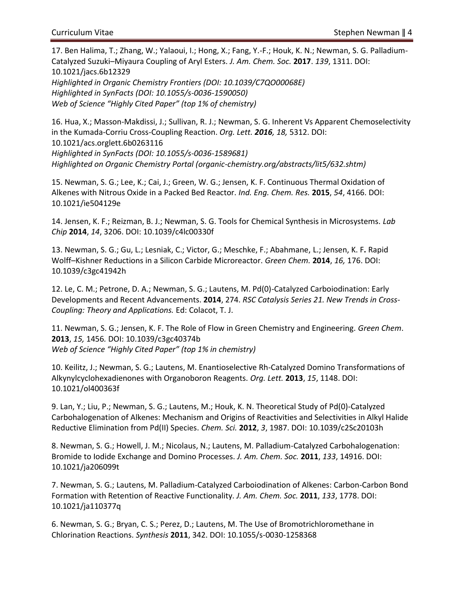17. Ben Halima, T.; Zhang, W.; Yalaoui, I.; Hong, X.; Fang, Y.-F.; Houk, K. N.; Newman, S. G. Palladium-Catalyzed Suzuki–Miyaura Coupling of Aryl Esters. *J. Am. Chem. Soc.* **2017**. *139*, 1311. DOI: 10.1021/jacs.6b12329 *Highlighted in Organic Chemistry Frontiers (DOI: 10.1039/C7QO00068E) Highlighted in SynFacts (DOI: 10.1055/s-0036-1590050)*

*Web of Science "Highly Cited Paper" (top 1% of chemistry)*

16. Hua, X.; Masson-Makdissi, J.; Sullivan, R. J.; Newman, S. G. Inherent Vs Apparent Chemoselectivity in the Kumada-Corriu Cross-Coupling Reaction. *Org. Lett. 2016, 18,* 5312. DOI: 10.1021/acs.orglett.6b0263116 *Highlighted in SynFacts (DOI: 10.1055/s-0036-1589681) Highlighted on Organic Chemistry Portal (organic-chemistry.org/abstracts/lit5/632.shtm)*

15. Newman, S. G.; Lee, K.; Cai, J.; Green, W. G.; Jensen, K. F. Continuous Thermal Oxidation of Alkenes with Nitrous Oxide in a Packed Bed Reactor. *Ind. Eng. Chem. Res.* **2015**, *54*, 4166. DOI: 10.1021/ie504129e

14. Jensen, K. F.; Reizman, B. J.; Newman, S. G. Tools for Chemical Synthesis in Microsystems. *Lab Chip* **2014**, *14*, 3206. DOI: 10.1039/c4lc00330f

13. Newman, S. G.; Gu, L.; Lesniak, C.; Victor, G.; Meschke, F.; Abahmane, L.; Jensen, K. F**.** Rapid Wolff–Kishner Reductions in a Silicon Carbide Microreactor. *Green Chem.* **2014**, *16,* 176. DOI: 10.1039/c3gc41942h

12. Le, C. M.; Petrone, D. A.; Newman, S. G.; Lautens, M. Pd(0)-Catalyzed Carboiodination: Early Developments and Recent Advancements. **2014**, 274. *RSC Catalysis Series 21. New Trends in Cross-Coupling: Theory and Applications.* Ed: Colacot, T. J.

11. Newman, S. G.; Jensen, K. F. The Role of Flow in Green Chemistry and Engineering. *Green Chem*. **2013**, *15,* 1456*.* DOI: 10.1039/c3gc40374b *Web of Science "Highly Cited Paper" (top 1% in chemistry)*

10. Keilitz, J.; Newman, S. G.; Lautens, M. Enantioselective Rh-Catalyzed Domino Transformations of Alkynylcyclohexadienones with Organoboron Reagents. *Org. Lett.* **2013**, *15*, 1148. DOI: 10.1021/ol400363f

9. Lan, Y.; Liu, P.; Newman, S. G.; Lautens, M.; Houk, K. N. Theoretical Study of Pd(0)-Catalyzed Carbohalogenation of Alkenes: Mechanism and Origins of Reactivities and Selectivities in Alkyl Halide Reductive Elimination from Pd(II) Species. *Chem. Sci.* **2012**, *3*, 1987. DOI: 10.1039/c2Sc20103h

8. Newman, S. G.; Howell, J. M.; Nicolaus, N.; Lautens, M. Palladium-Catalyzed Carbohalogenation: Bromide to Iodide Exchange and Domino Processes. *J. Am. Chem. Soc.* **2011**, *133*, 14916. DOI: 10.1021/ja206099t

7. Newman, S. G.; Lautens, M. Palladium-Catalyzed Carboiodination of Alkenes: Carbon-Carbon Bond Formation with Retention of Reactive Functionality. *J. Am. Chem. Soc.* **2011**, *133*, 1778. DOI: 10.1021/ja110377q

6. Newman, S. G.; Bryan, C. S.; Perez, D.; Lautens, M. The Use of Bromotrichloromethane in Chlorination Reactions. *Synthesis* **2011**, 342. DOI: 10.1055/s-0030-1258368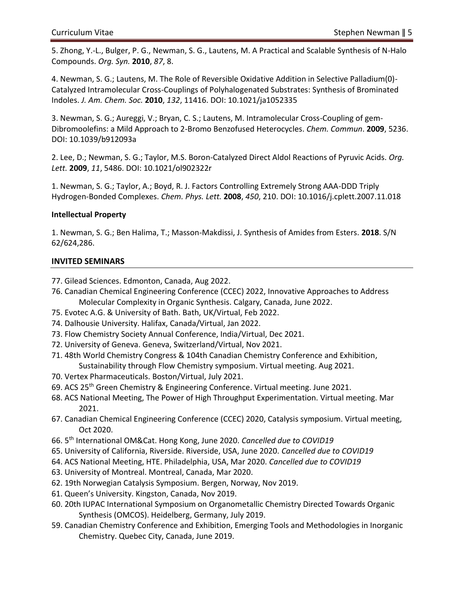5. Zhong, Y.-L., Bulger, P. G., Newman, S. G., Lautens, M. A Practical and Scalable Synthesis of N-Halo Compounds. *Org. Syn.* **2010**, *87*, 8.

4. Newman, S. G.; Lautens, M. The Role of Reversible Oxidative Addition in Selective Palladium(0)- Catalyzed Intramolecular Cross-Couplings of Polyhalogenated Substrates: Synthesis of Brominated Indoles. *J. Am. Chem. Soc.* **2010**, *132*, 11416. DOI: 10.1021/ja1052335

3. Newman, S. G.; Aureggi, V.; Bryan, C. S.; Lautens, M. Intramolecular Cross-Coupling of gem-Dibromoolefins: a Mild Approach to 2-Bromo Benzofused Heterocycles. *Chem. Commun*. **2009**, 5236. DOI: 10.1039/b912093a

2. Lee, D.; Newman, S. G.; Taylor, M.S. Boron-Catalyzed Direct Aldol Reactions of Pyruvic Acids. *Org. Lett.* **2009**, *11*, 5486. DOI: 10.1021/ol902322r

1. Newman, S. G.; Taylor, A.; Boyd, R. J. Factors Controlling Extremely Strong AAA-DDD Triply Hydrogen-Bonded Complexes. *Chem. Phys. Lett.* **2008**, *450*, 210. DOI: 10.1016/j.cplett.2007.11.018

# **Intellectual Property**

1. Newman, S. G.; Ben Halima, T.; Masson-Makdissi, J. Synthesis of Amides from Esters. **2018**. S/N 62/624,286.

## **INVITED SEMINARS**

77. Gilead Sciences. Edmonton, Canada, Aug 2022.

- 76. Canadian Chemical Engineering Conference (CCEC) 2022, Innovative Approaches to Address Molecular Complexity in Organic Synthesis. Calgary, Canada, June 2022.
- 75. Evotec A.G. & University of Bath. Bath, UK/Virtual, Feb 2022.
- 74. Dalhousie University. Halifax, Canada/Virtual, Jan 2022.
- 73. Flow Chemistry Society Annual Conference, India/Virtual, Dec 2021.
- 72. University of Geneva. Geneva, Switzerland/Virtual, Nov 2021.
- 71. 48th World Chemistry Congress & 104th Canadian Chemistry Conference and Exhibition, Sustainability through Flow Chemistry symposium. Virtual meeting. Aug 2021.
- 70. Vertex Pharmaceuticals. Boston/Virtual, July 2021.
- 69. ACS 25th Green Chemistry & Engineering Conference. Virtual meeting. June 2021.
- 68. ACS National Meeting, The Power of High Throughput Experimentation. Virtual meeting. Mar 2021.
- 67. Canadian Chemical Engineering Conference (CCEC) 2020, Catalysis symposium. Virtual meeting, Oct 2020.
- 66. 5 th International OM&Cat. Hong Kong, June 2020. *Cancelled due to COVID19*
- 65. University of California, Riverside. Riverside, USA, June 2020. *Cancelled due to COVID19*
- 64. ACS National Meeting, HTE. Philadelphia, USA, Mar 2020. *Cancelled due to COVID19*
- 63. University of Montreal. Montreal, Canada, Mar 2020.
- 62. 19th Norwegian Catalysis Symposium. Bergen, Norway, Nov 2019.
- 61. Queen's University. Kingston, Canada, Nov 2019.
- 60. 20th IUPAC International Symposium on Organometallic Chemistry Directed Towards Organic Synthesis (OMCOS). Heidelberg, Germany, July 2019.
- 59. Canadian Chemistry Conference and Exhibition, Emerging Tools and Methodologies in Inorganic Chemistry. Quebec City, Canada, June 2019.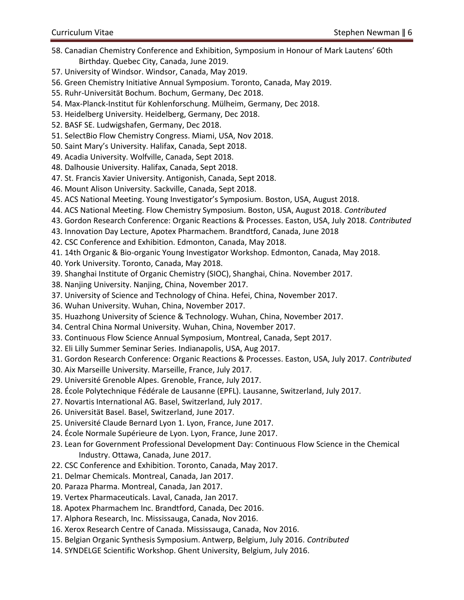- 58. Canadian Chemistry Conference and Exhibition, Symposium in Honour of Mark Lautens' 60th Birthday. Quebec City, Canada, June 2019.
- 57. University of Windsor. Windsor, Canada, May 2019.
- 56. Green Chemistry Initiative Annual Symposium. Toronto, Canada, May 2019.
- 55. Ruhr-Universität Bochum. Bochum, Germany, Dec 2018.
- 54. Max-Planck-Institut für Kohlenforschung. Mülheim, Germany, Dec 2018.
- 53. Heidelberg University. Heidelberg, Germany, Dec 2018.
- 52. BASF SE. Ludwigshafen, Germany, Dec 2018.
- 51. SelectBio Flow Chemistry Congress. Miami, USA, Nov 2018.
- 50. Saint Mary's University. Halifax, Canada, Sept 2018.
- 49. Acadia University. Wolfville, Canada, Sept 2018.
- 48. Dalhousie University. Halifax, Canada, Sept 2018.
- 47. St. Francis Xavier University. Antigonish, Canada, Sept 2018.
- 46. Mount Alison University. Sackville, Canada, Sept 2018.
- 45. ACS National Meeting. Young Investigator's Symposium. Boston, USA, August 2018.
- 44. ACS National Meeting. Flow Chemistry Symposium. Boston, USA, August 2018. *Contributed*
- 43. Gordon Research Conference: Organic Reactions & Processes. Easton, USA, July 2018. *Contributed*
- 43. Innovation Day Lecture, Apotex Pharmachem. Brandtford, Canada, June 2018
- 42. CSC Conference and Exhibition. Edmonton, Canada, May 2018.
- 41. 14th Organic & Bio-organic Young Investigator Workshop. Edmonton, Canada, May 2018.
- 40. York University. Toronto, Canada, May 2018.
- 39. Shanghai Institute of Organic Chemistry (SIOC), Shanghai, China. November 2017.
- 38. Nanjing University. Nanjing, China, November 2017.
- 37. University of Science and Technology of China. Hefei, China, November 2017.
- 36. Wuhan University. Wuhan, China, November 2017.
- 35. Huazhong University of Science & Technology. Wuhan, China, November 2017.
- 34. Central China Normal University. Wuhan, China, November 2017.
- 33. Continuous Flow Science Annual Symposium, Montreal, Canada, Sept 2017.
- 32. Eli Lilly Summer Seminar Series. Indianapolis, USA, Aug 2017.
- 31. Gordon Research Conference: Organic Reactions & Processes. Easton, USA, July 2017. *Contributed*
- 30. Aix Marseille University. Marseille, France, July 2017.
- 29. Université Grenoble Alpes. Grenoble, France, July 2017.
- 28. École Polytechnique Fédérale de Lausanne (EPFL). Lausanne, Switzerland, July 2017.
- 27. Novartis International AG. Basel, Switzerland, July 2017.
- 26. Universität Basel. Basel, Switzerland, June 2017.
- 25. Université Claude Bernard Lyon 1. Lyon, France, June 2017.
- 24. École Normale Supérieure de Lyon. Lyon, France, June 2017.
- 23. Lean for Government Professional Development Day: Continuous Flow Science in the Chemical Industry. Ottawa, Canada, June 2017.
- 22. CSC Conference and Exhibition. Toronto, Canada, May 2017.
- 21. Delmar Chemicals. Montreal, Canada, Jan 2017.
- 20. Paraza Pharma. Montreal, Canada, Jan 2017.
- 19. Vertex Pharmaceuticals. Laval, Canada, Jan 2017.
- 18. Apotex Pharmachem Inc. Brandtford, Canada, Dec 2016.
- 17. Alphora Research, Inc. Mississauga, Canada, Nov 2016.
- 16. Xerox Research Centre of Canada. Mississauga, Canada, Nov 2016.
- 15. Belgian Organic Synthesis Symposium. Antwerp, Belgium, July 2016. *Contributed*
- 14. SYNDELGE Scientific Workshop. Ghent University, Belgium, July 2016.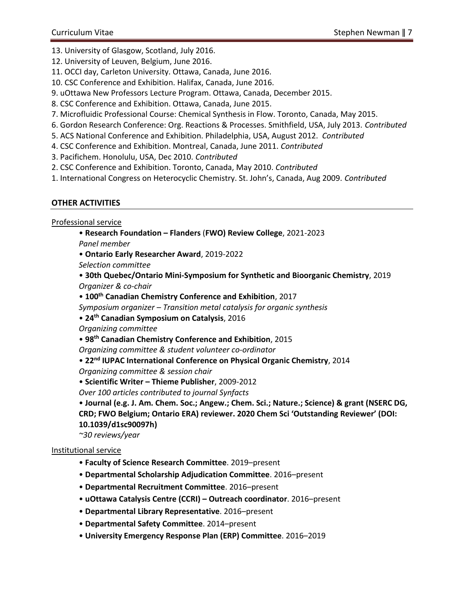- 13. University of Glasgow, Scotland, July 2016.
- 12. University of Leuven, Belgium, June 2016.
- 11. OCCI day, Carleton University. Ottawa, Canada, June 2016.
- 10. CSC Conference and Exhibition. Halifax, Canada, June 2016.
- 9. uOttawa New Professors Lecture Program. Ottawa, Canada, December 2015.
- 8. CSC Conference and Exhibition. Ottawa, Canada, June 2015.
- 7. Microfluidic Professional Course: Chemical Synthesis in Flow. Toronto, Canada, May 2015.
- 6. Gordon Research Conference: Org. Reactions & Processes. Smithfield, USA, July 2013. *Contributed*
- 5. ACS National Conference and Exhibition. Philadelphia, USA, August 2012. *Contributed*
- 4. CSC Conference and Exhibition. Montreal, Canada, June 2011. *Contributed*
- 3. Pacifichem. Honolulu, USA, Dec 2010. *Contributed*
- 2. CSC Conference and Exhibition. Toronto, Canada, May 2010. *Contributed*
- 1. International Congress on Heterocyclic Chemistry. St. John's, Canada, Aug 2009. *Contributed*

# **OTHER ACTIVITIES**

Professional service

- **Research Foundation – Flanders** (**FWO) Review College**, 2021-2023 *Panel member*
- **Ontario Early Researcher Award**, 2019-2022

*Selection committee*

- **30th Quebec/Ontario Mini-Symposium for Synthetic and Bioorganic Chemistry**, 2019 *Organizer & co-chair*
- **100th Canadian Chemistry Conference and Exhibition**, 2017
- *Symposium organizer – Transition metal catalysis for organic synthesis*
- **24th Canadian Symposium on Catalysis**, 2016

*Organizing committee*

• **98th Canadian Chemistry Conference and Exhibition**, 2015

- *Organizing committee & student volunteer co-ordinator*
- **22nd IUPAC International Conference on Physical Organic Chemistry**, 2014
- *Organizing committee & session chair*
- **Scientific Writer – Thieme Publisher**, 2009-2012

*Over 100 articles contributed to journal Synfacts*

• **Journal (e.g. J. Am. Chem. Soc.; Angew.; Chem. Sci.; Nature.; Science) & grant (NSERC DG, CRD; FWO Belgium; Ontario ERA) reviewer. 2020 Chem Sci 'Outstanding Reviewer' (DOI: 10.1039/d1sc90097h)**

*~30 reviews/year*

# Institutional service

- **Faculty of Science Research Committee**. 2019–present
- **Departmental Scholarship Adjudication Committee**. 2016–present
- **Departmental Recruitment Committee**. 2016–present
- **uOttawa Catalysis Centre (CCRI) – Outreach coordinator**. 2016–present
- **Departmental Library Representative**. 2016–present
- **Departmental Safety Committee**. 2014–present
- **University Emergency Response Plan (ERP) Committee**. 2016–2019